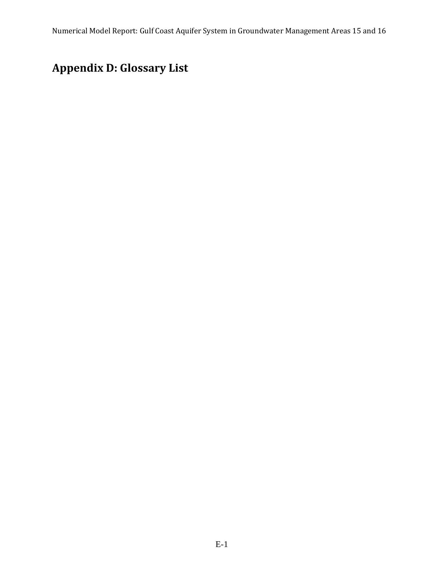## **Appendix D: Glossary List**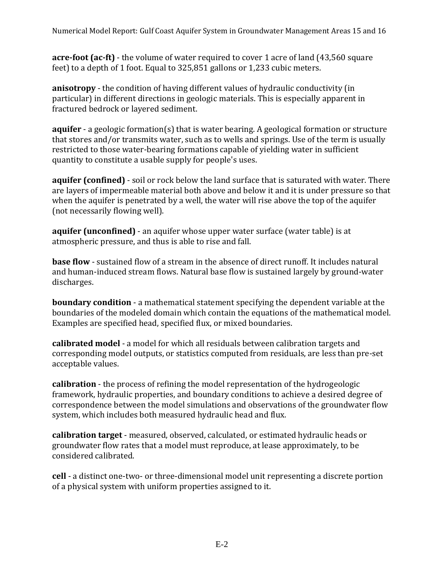**acre-foot (ac-ft)** - the volume of water required to cover 1 acre of land (43,560 square feet) to a depth of 1 foot. Equal to 325,851 gallons or 1,233 cubic meters.

**anisotropy** - the condition of having different values of hydraulic conductivity (in particular) in different directions in geologic materials. This is especially apparent in fractured bedrock or layered sediment.

**aquifer** - a geologic formation(s) that is water bearing. A geological formation or structure that stores and/or transmits water, such as to wells and springs. Use of the term is usually restricted to those water-bearing formations capable of yielding water in sufficient quantity to constitute a usable supply for people's uses.

**aquifer (confined)** - soil or rock below the land surface that is saturated with water. There are layers of impermeable material both above and below it and it is under pressure so that when the aquifer is penetrated by a well, the water will rise above the top of the aquifer (not necessarily flowing well).

**aquifer (unconfined)** - an aquifer whose upper water surface (water table) is at atmospheric pressure, and thus is able to rise and fall.

**base flow** - sustained flow of a stream in the absence of direct runoff. It includes natural and human-induced stream flows. Natural base flow is sustained largely by ground-water discharges.

**boundary condition** - a mathematical statement specifying the dependent variable at the boundaries of the modeled domain which contain the equations of the mathematical model. Examples are specified head, specified flux, or mixed boundaries.

**calibrated model** - a model for which all residuals between calibration targets and corresponding model outputs, or statistics computed from residuals, are less than pre-set acceptable values.

**calibration** - the process of refining the model representation of the hydrogeologic framework, hydraulic properties, and boundary conditions to achieve a desired degree of correspondence between the model simulations and observations of the groundwater flow system, which includes both measured hydraulic head and flux.

**calibration target** - measured, observed, calculated, or estimated hydraulic heads or groundwater flow rates that a model must reproduce, at lease approximately, to be considered calibrated.

**cell** - a distinct one-two- or three-dimensional model unit representing a discrete portion of a physical system with uniform properties assigned to it.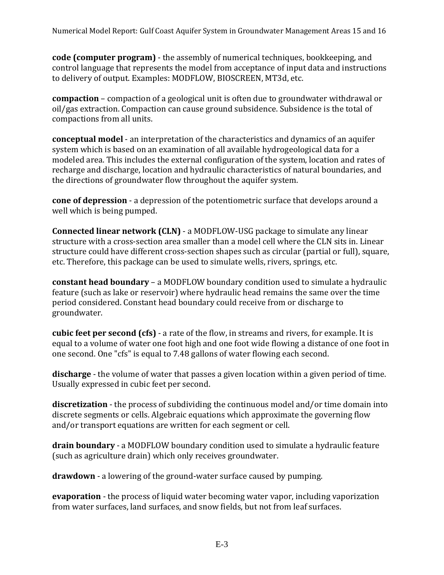**code (computer program)** - the assembly of numerical techniques, bookkeeping, and control language that represents the model from acceptance of input data and instructions to delivery of output. Examples: MODFLOW, BIOSCREEN, MT3d, etc.

**compaction** – compaction of a geological unit is often due to groundwater withdrawal or oil/gas extraction. Compaction can cause ground subsidence. Subsidence is the total of compactions from all units.

**conceptual model** - an interpretation of the characteristics and dynamics of an aquifer system which is based on an examination of all available hydrogeological data for a modeled area. This includes the external configuration of the system, location and rates of recharge and discharge, location and hydraulic characteristics of natural boundaries, and the directions of groundwater flow throughout the aquifer system.

**cone of depression** - a depression of the potentiometric surface that develops around a well which is being pumped.

**Connected linear network (CLN)** - a MODFLOW-USG package to simulate any linear structure with a cross-section area smaller than a model cell where the CLN sits in. Linear structure could have different cross-section shapes such as circular (partial or full), square, etc. Therefore, this package can be used to simulate wells, rivers, springs, etc.

**constant head boundary** – a MODFLOW boundary condition used to simulate a hydraulic feature (such as lake or reservoir) where hydraulic head remains the same over the time period considered. Constant head boundary could receive from or discharge to groundwater.

**cubic feet per second (cfs)** - a rate of the flow, in streams and rivers, for example. It is equal to a volume of water one foot high and one foot wide flowing a distance of one foot in one second. One "cfs" is equal to 7.48 gallons of water flowing each second.

**discharge** - the volume of water that passes a given location within a given period of time. Usually expressed in cubic feet per second.

**discretization** - the process of subdividing the continuous model and/or time domain into discrete segments or cells. Algebraic equations which approximate the governing flow and/or transport equations are written for each segment or cell.

**drain boundary** - a MODFLOW boundary condition used to simulate a hydraulic feature (such as agriculture drain) which only receives groundwater.

**drawdown** - a lowering of the ground-water surface caused by pumping.

**evaporation** - the process of liquid water becoming water vapor, including vaporization from water surfaces, land surfaces, and snow fields, but not from leaf surfaces.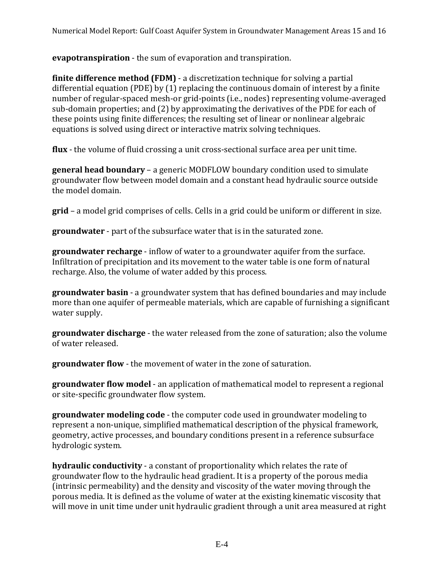**evapotranspiration** - the sum of evaporation and transpiration.

**finite difference method (FDM)** - a discretization technique for solving a partial differential equation (PDE) by (1) replacing the continuous domain of interest by a finite number of regular-spaced mesh-or grid-points (i.e., nodes) representing volume-averaged sub-domain properties; and (2) by approximating the derivatives of the PDE for each of these points using finite differences; the resulting set of linear or nonlinear algebraic equations is solved using direct or interactive matrix solving techniques.

**flux** - the volume of fluid crossing a unit cross-sectional surface area per unit time.

**general head boundary** – a generic MODFLOW boundary condition used to simulate groundwater flow between model domain and a constant head hydraulic source outside the model domain.

**grid** – a model grid comprises of cells. Cells in a grid could be uniform or different in size.

**groundwater** - part of the subsurface water that is in the saturated zone.

**groundwater recharge** - inflow of water to a groundwater aquifer from the surface. Infiltration of precipitation and its movement to the water table is one form of natural recharge. Also, the volume of water added by this process.

**groundwater basin** - a groundwater system that has defined boundaries and may include more than one aquifer of permeable materials, which are capable of furnishing a significant water supply.

**groundwater discharge** - the water released from the zone of saturation; also the volume of water released.

**groundwater flow** - the movement of water in the zone of saturation.

**groundwater flow model** - an application of mathematical model to represent a regional or site-specific groundwater flow system.

**groundwater modeling code** - the computer code used in groundwater modeling to represent a non-unique, simplified mathematical description of the physical framework, geometry, active processes, and boundary conditions present in a reference subsurface hydrologic system.

**hydraulic conductivity** - a constant of proportionality which relates the rate of groundwater flow to the hydraulic head gradient. It is a property of the porous media (intrinsic permeability) and the density and viscosity of the water moving through the porous media. It is defined as the volume of water at the existing kinematic viscosity that will move in unit time under unit hydraulic gradient through a unit area measured at right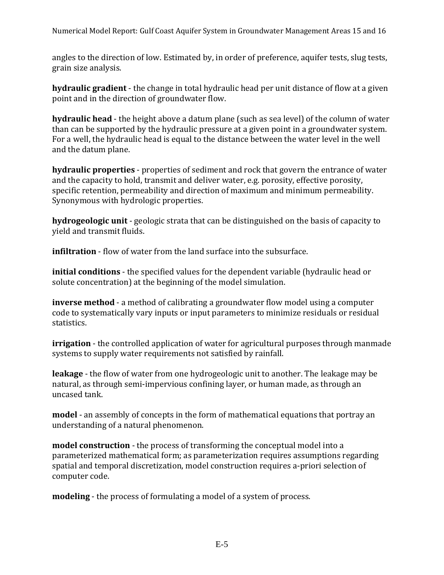Numerical Model Report: Gulf Coast Aquifer System in Groundwater Management Areas 15 and 16

angles to the direction of low. Estimated by, in order of preference, aquifer tests, slug tests, grain size analysis.

**hydraulic gradient** - the change in total hydraulic head per unit distance of flow at a given point and in the direction of groundwater flow.

**hydraulic head** - the height above a datum plane (such as sea level) of the column of water than can be supported by the hydraulic pressure at a given point in a groundwater system. For a well, the hydraulic head is equal to the distance between the water level in the well and the datum plane.

**hydraulic properties** - properties of sediment and rock that govern the entrance of water and the capacity to hold, transmit and deliver water, e.g. porosity, effective porosity, specific retention, permeability and direction of maximum and minimum permeability. Synonymous with hydrologic properties.

**hydrogeologic unit** - geologic strata that can be distinguished on the basis of capacity to yield and transmit fluids.

**infiltration** - flow of water from the land surface into the subsurface.

**initial conditions** - the specified values for the dependent variable (hydraulic head or solute concentration) at the beginning of the model simulation.

**inverse method** - a method of calibrating a groundwater flow model using a computer code to systematically vary inputs or input parameters to minimize residuals or residual statistics.

**irrigation** - the controlled application of water for agricultural purposes through manmade systems to supply water requirements not satisfied by rainfall.

**leakage** - the flow of water from one hydrogeologic unit to another. The leakage may be natural, as through semi-impervious confining layer, or human made, as through an uncased tank.

**model** - an assembly of concepts in the form of mathematical equations that portray an understanding of a natural phenomenon.

**model construction** - the process of transforming the conceptual model into a parameterized mathematical form; as parameterization requires assumptions regarding spatial and temporal discretization, model construction requires a-priori selection of computer code.

**modeling** - the process of formulating a model of a system of process.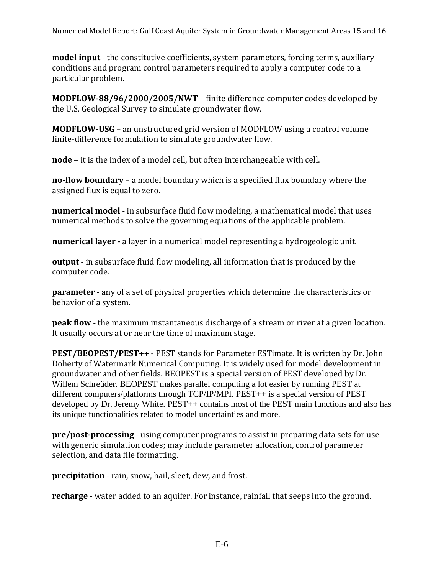m**odel input** - the constitutive coefficients, system parameters, forcing terms, auxiliary conditions and program control parameters required to apply a computer code to a particular problem.

**MODFLOW-88/96/2000/2005/NWT** – finite difference computer codes developed by the U.S. Geological Survey to simulate groundwater flow.

**MODFLOW-USG** – an unstructured grid version of MODFLOW using a control volume finite-difference formulation to simulate groundwater flow.

**node** – it is the index of a model cell, but often interchangeable with cell.

**no-flow boundary** – a model boundary which is a specified flux boundary where the assigned flux is equal to zero.

**numerical model** - in subsurface fluid flow modeling, a mathematical model that uses numerical methods to solve the governing equations of the applicable problem.

**numerical layer -** a layer in a numerical model representing a hydrogeologic unit.

**output** - in subsurface fluid flow modeling, all information that is produced by the computer code.

**parameter** - any of a set of physical properties which determine the characteristics or behavior of a system.

**peak flow** - the maximum instantaneous discharge of a stream or river at a given location. It usually occurs at or near the time of maximum stage.

**PEST/BEOPEST/PEST++** - PEST stands for Parameter ESTimate. It is written by Dr. John Doherty of Watermark Numerical Computing. It is widely used for model development in groundwater and other fields. BEOPEST is a special version of PEST developed by Dr. Willem Schreüder. BEOPEST makes parallel computing a lot easier by running PEST at different computers/platforms through TCP/IP/MPI. PEST++ is a special version of PEST developed by Dr. Jeremy White. PEST++ contains most of the PEST main functions and also has its unique functionalities related to model uncertainties and more.

**pre/post-processing** - using computer programs to assist in preparing data sets for use with generic simulation codes; may include parameter allocation, control parameter selection, and data file formatting.

**precipitation** - rain, snow, hail, sleet, dew, and frost.

**recharge** - water added to an aquifer. For instance, rainfall that seeps into the ground.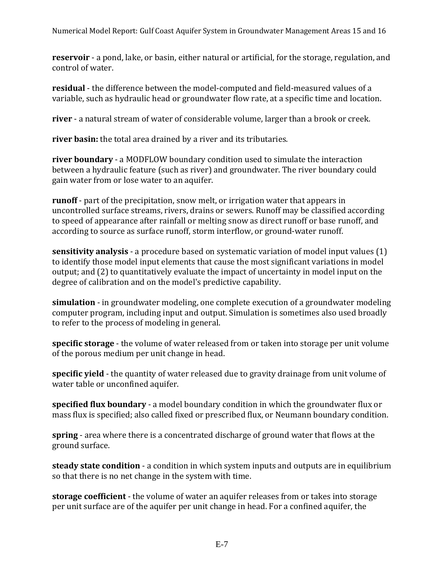Numerical Model Report: Gulf Coast Aquifer System in Groundwater Management Areas 15 and 16

**reservoir** - a pond, lake, or basin, either natural or artificial, for the storage, regulation, and control of water.

**residual** - the difference between the model-computed and field-measured values of a variable, such as hydraulic head or groundwater flow rate, at a specific time and location.

**river** - a natural stream of water of considerable volume, larger than a brook or creek.

**river basin:** the total area drained by a river and its tributaries.

**river boundary** - a MODFLOW boundary condition used to simulate the interaction between a hydraulic feature (such as river) and groundwater. The river boundary could gain water from or lose water to an aquifer.

**runoff** - part of the precipitation, snow melt, or irrigation water that appears in uncontrolled surface streams, rivers, drains or sewers. Runoff may be classified according to speed of appearance after rainfall or melting snow as direct runoff or base runoff, and according to source as surface runoff, storm interflow, or ground-water runoff.

**sensitivity analysis** - a procedure based on systematic variation of model input values (1) to identify those model input elements that cause the most significant variations in model output; and (2) to quantitatively evaluate the impact of uncertainty in model input on the degree of calibration and on the model's predictive capability.

**simulation** - in groundwater modeling, one complete execution of a groundwater modeling computer program, including input and output. Simulation is sometimes also used broadly to refer to the process of modeling in general.

**specific storage** - the volume of water released from or taken into storage per unit volume of the porous medium per unit change in head.

**specific yield** - the quantity of water released due to gravity drainage from unit volume of water table or unconfined aquifer.

**specified flux boundary** - a model boundary condition in which the groundwater flux or mass flux is specified; also called fixed or prescribed flux, or Neumann boundary condition.

**spring** - area where there is a concentrated discharge of ground water that flows at the ground surface.

**steady state condition** - a condition in which system inputs and outputs are in equilibrium so that there is no net change in the system with time.

**storage coefficient** - the volume of water an aquifer releases from or takes into storage per unit surface are of the aquifer per unit change in head. For a confined aquifer, the